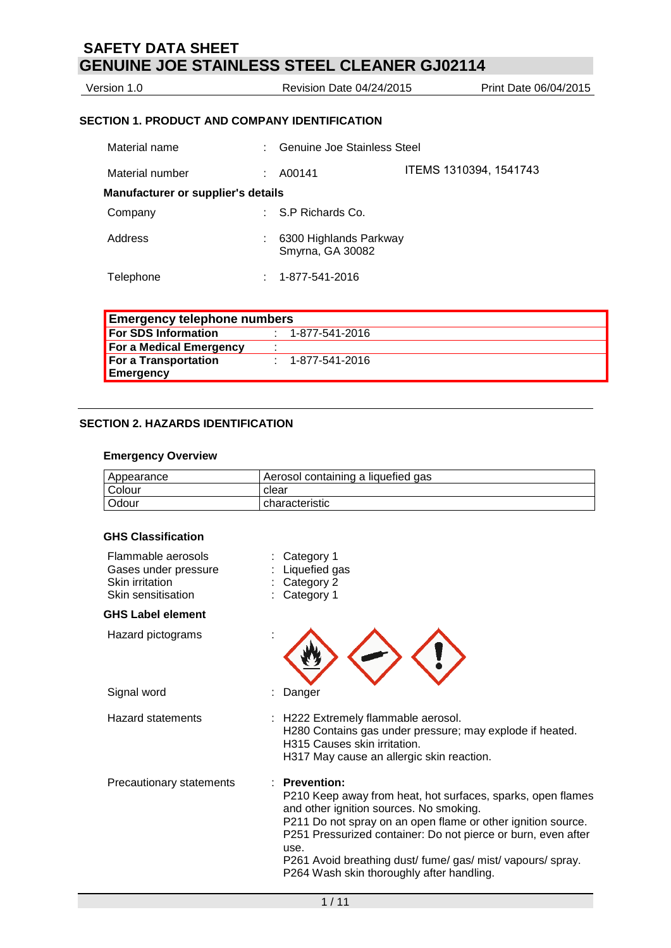Version 1.0 **Next** Revision Date 04/24/2015 **Print Date 06/04/2015** 

## **SECTION 1. PRODUCT AND COMPANY IDENTIFICATION**

| Material name                             |    | : Genuine Joe Stainless Steel                |                        |
|-------------------------------------------|----|----------------------------------------------|------------------------|
| Material number                           | ÷. | A00141                                       | ITEMS 1310394, 1541743 |
| <b>Manufacturer or supplier's details</b> |    |                                              |                        |
| Company                                   |    | $\therefore$ S.P Richards Co.                |                        |
| Address                                   |    | : 6300 Highlands Parkway<br>Smyrna, GA 30082 |                        |
| Telephone                                 |    | 1-877-541-2016                               |                        |

| <b>Emergency telephone numbers</b> |                          |
|------------------------------------|--------------------------|
| For SDS Information                | $: 1 - 877 - 541 - 2016$ |
| For a Medical Emergency            |                          |
| For a Transportation               | $1 - 877 - 541 - 2016$   |
| Emergency                          |                          |

## **SECTION 2. HAZARDS IDENTIFICATION**

#### **Emergency Overview**

| Appearance    | Aerosol containing a liquefied gas |
|---------------|------------------------------------|
| <b>Colour</b> | clear                              |
| Odour         | characteristic                     |

## **GHS Classification**

| Flammable aerosols<br>Gases under pressure<br>Skin irritation<br>Skin sensitisation | Category 1<br>Liquefied gas<br>Category 2<br>Category 1                                                                                                                                                                                                                                                                                                                           |
|-------------------------------------------------------------------------------------|-----------------------------------------------------------------------------------------------------------------------------------------------------------------------------------------------------------------------------------------------------------------------------------------------------------------------------------------------------------------------------------|
| <b>GHS Label element</b>                                                            |                                                                                                                                                                                                                                                                                                                                                                                   |
| Hazard pictograms                                                                   |                                                                                                                                                                                                                                                                                                                                                                                   |
| Signal word                                                                         | Danger                                                                                                                                                                                                                                                                                                                                                                            |
| Hazard statements                                                                   | : H222 Extremely flammable aerosol.<br>H280 Contains gas under pressure; may explode if heated.<br>H315 Causes skin irritation.<br>H317 May cause an allergic skin reaction.                                                                                                                                                                                                      |
| Precautionary statements                                                            | <b>Prevention:</b><br>P210 Keep away from heat, hot surfaces, sparks, open flames<br>and other ignition sources. No smoking.<br>P211 Do not spray on an open flame or other ignition source.<br>P251 Pressurized container: Do not pierce or burn, even after<br>use.<br>P261 Avoid breathing dust/ fume/ gas/ mist/ vapours/ spray.<br>P264 Wash skin thoroughly after handling. |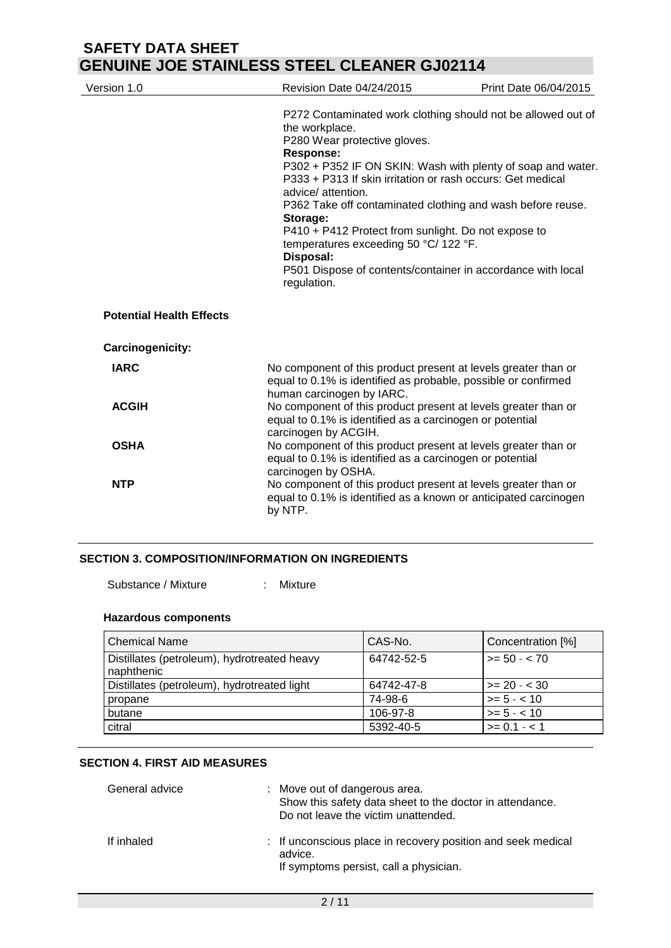| Version 1.0                     | Revision Date 04/24/2015                                                                                                                                                                                                                                                                                                                                                                                                                                                                                                                                   | Print Date 06/04/2015 |
|---------------------------------|------------------------------------------------------------------------------------------------------------------------------------------------------------------------------------------------------------------------------------------------------------------------------------------------------------------------------------------------------------------------------------------------------------------------------------------------------------------------------------------------------------------------------------------------------------|-----------------------|
|                                 | P272 Contaminated work clothing should not be allowed out of<br>the workplace.<br>P280 Wear protective gloves.<br><b>Response:</b><br>P302 + P352 IF ON SKIN: Wash with plenty of soap and water.<br>P333 + P313 If skin irritation or rash occurs: Get medical<br>advice/ attention.<br>P362 Take off contaminated clothing and wash before reuse.<br>Storage:<br>P410 + P412 Protect from sunlight. Do not expose to<br>temperatures exceeding 50 °C/ 122 °F.<br>Disposal:<br>P501 Dispose of contents/container in accordance with local<br>regulation. |                       |
| <b>Potential Health Effects</b> |                                                                                                                                                                                                                                                                                                                                                                                                                                                                                                                                                            |                       |
| Carcinogenicity:                |                                                                                                                                                                                                                                                                                                                                                                                                                                                                                                                                                            |                       |
| <b>IARC</b>                     | No component of this product present at levels greater than or<br>equal to 0.1% is identified as probable, possible or confirmed<br>human carcinogen by IARC.                                                                                                                                                                                                                                                                                                                                                                                              |                       |
| <b>ACGIH</b>                    | No component of this product present at levels greater than or<br>equal to 0.1% is identified as a carcinogen or potential<br>carcinogen by ACGIH.                                                                                                                                                                                                                                                                                                                                                                                                         |                       |
| <b>OSHA</b>                     | No component of this product present at levels greater than or<br>equal to 0.1% is identified as a carcinogen or potential<br>carcinogen by OSHA.                                                                                                                                                                                                                                                                                                                                                                                                          |                       |
| <b>NTP</b>                      | No component of this product present at levels greater than or<br>equal to 0.1% is identified as a known or anticipated carcinogen<br>by NTP.                                                                                                                                                                                                                                                                                                                                                                                                              |                       |

### **SECTION 3. COMPOSITION/INFORMATION ON INGREDIENTS**

Substance / Mixture : Mixture

#### **Hazardous components**

| <b>Chemical Name</b>                                      | CAS-No.    | Concentration [%]    |
|-----------------------------------------------------------|------------|----------------------|
| Distillates (petroleum), hydrotreated heavy<br>naphthenic | 64742-52-5 | $\vert$ >= 50 - < 70 |
| Distillates (petroleum), hydrotreated light               | 64742-47-8 | $>= 20 - 30$         |
| propane                                                   | 74-98-6    | $>= 5 - < 10$        |
| butane                                                    | 106-97-8   | $>= 5 - < 10$        |
| citral                                                    | 5392-40-5  | $>= 0.1 - 1.1$       |

## **SECTION 4. FIRST AID MEASURES**

| General advice | : Move out of dangerous area.<br>Show this safety data sheet to the doctor in attendance.<br>Do not leave the victim unattended. |
|----------------|----------------------------------------------------------------------------------------------------------------------------------|
| If inhaled     | : If unconscious place in recovery position and seek medical<br>advice.<br>If symptoms persist, call a physician.                |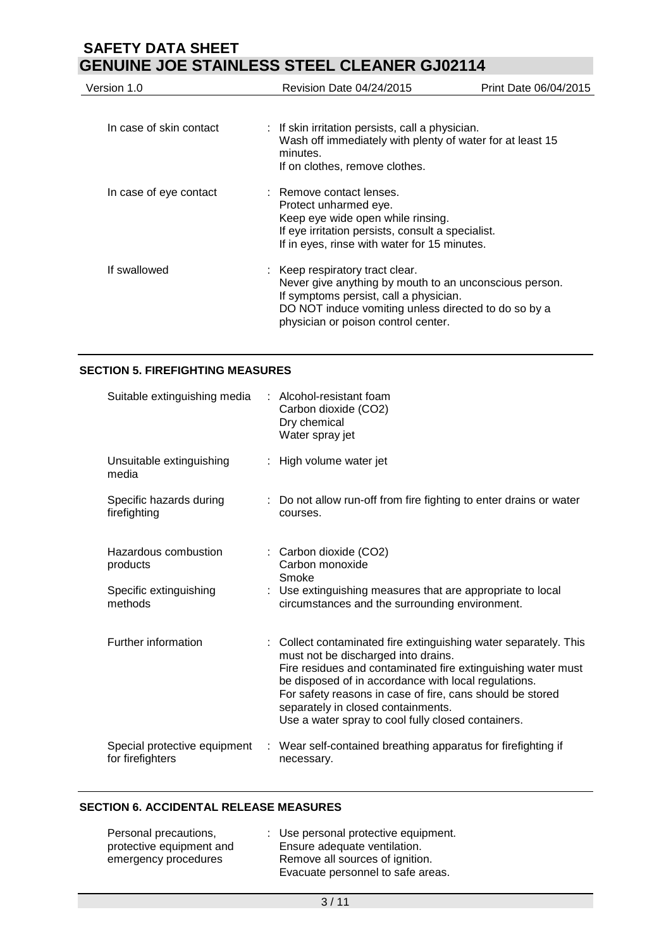| Version 1.0             | Revision Date 04/24/2015                                                                                                                                                                                                           | Print Date 06/04/2015 |
|-------------------------|------------------------------------------------------------------------------------------------------------------------------------------------------------------------------------------------------------------------------------|-----------------------|
| In case of skin contact | : If skin irritation persists, call a physician.<br>Wash off immediately with plenty of water for at least 15<br>minutes.<br>If on clothes, remove clothes.                                                                        |                       |
| In case of eye contact  | : Remove contact lenses.<br>Protect unharmed eye.<br>Keep eye wide open while rinsing.<br>If eye irritation persists, consult a specialist.<br>If in eyes, rinse with water for 15 minutes.                                        |                       |
| If swallowed            | : Keep respiratory tract clear.<br>Never give anything by mouth to an unconscious person.<br>If symptoms persist, call a physician.<br>DO NOT induce vomiting unless directed to do so by a<br>physician or poison control center. |                       |

### **SECTION 5. FIREFIGHTING MEASURES**

| Suitable extinguishing media                     | : Alcohol-resistant foam<br>Carbon dioxide (CO2)<br>Dry chemical<br>Water spray jet                                                                                                                                                                                                                                                                                                      |
|--------------------------------------------------|------------------------------------------------------------------------------------------------------------------------------------------------------------------------------------------------------------------------------------------------------------------------------------------------------------------------------------------------------------------------------------------|
| Unsuitable extinguishing<br>media                | : High volume water jet                                                                                                                                                                                                                                                                                                                                                                  |
| Specific hazards during<br>firefighting          | : Do not allow run-off from fire fighting to enter drains or water<br>courses.                                                                                                                                                                                                                                                                                                           |
| Hazardous combustion<br>products                 | : Carbon dioxide (CO2)<br>Carbon monoxide<br>Smoke                                                                                                                                                                                                                                                                                                                                       |
| Specific extinguishing<br>methods                | Use extinguishing measures that are appropriate to local<br>circumstances and the surrounding environment.                                                                                                                                                                                                                                                                               |
| Further information                              | : Collect contaminated fire extinguishing water separately. This<br>must not be discharged into drains.<br>Fire residues and contaminated fire extinguishing water must<br>be disposed of in accordance with local regulations.<br>For safety reasons in case of fire, cans should be stored<br>separately in closed containments.<br>Use a water spray to cool fully closed containers. |
| Special protective equipment<br>for firefighters | : Wear self-contained breathing apparatus for firefighting if<br>necessary.                                                                                                                                                                                                                                                                                                              |

### **SECTION 6. ACCIDENTAL RELEASE MEASURES**

| Personal precautions,    | : Use personal protective equipment. |
|--------------------------|--------------------------------------|
| protective equipment and | Ensure adequate ventilation.         |
| emergency procedures     | Remove all sources of ignition.      |
|                          | Evacuate personnel to safe areas.    |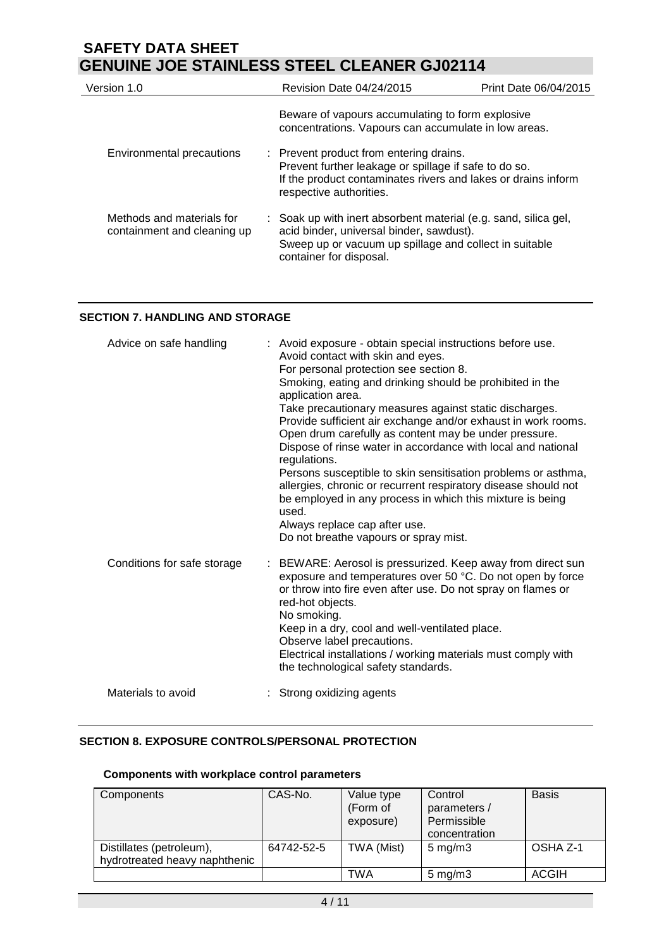| Version 1.0                                              | Revision Date 04/24/2015                                                                                                                                                                         | Print Date 06/04/2015 |
|----------------------------------------------------------|--------------------------------------------------------------------------------------------------------------------------------------------------------------------------------------------------|-----------------------|
|                                                          | Beware of vapours accumulating to form explosive<br>concentrations. Vapours can accumulate in low areas.                                                                                         |                       |
| Environmental precautions                                | : Prevent product from entering drains.<br>Prevent further leakage or spillage if safe to do so.<br>If the product contaminates rivers and lakes or drains inform<br>respective authorities.     |                       |
| Methods and materials for<br>containment and cleaning up | : Soak up with inert absorbent material (e.g. sand, silica gel,<br>acid binder, universal binder, sawdust).<br>Sweep up or vacuum up spillage and collect in suitable<br>container for disposal. |                       |

## **SECTION 7. HANDLING AND STORAGE**

| Advice on safe handling     | : Avoid exposure - obtain special instructions before use.<br>Avoid contact with skin and eyes.<br>For personal protection see section 8.<br>Smoking, eating and drinking should be prohibited in the<br>application area.<br>Take precautionary measures against static discharges.<br>Provide sufficient air exchange and/or exhaust in work rooms.<br>Open drum carefully as content may be under pressure.<br>Dispose of rinse water in accordance with local and national<br>regulations.<br>Persons susceptible to skin sensitisation problems or asthma,<br>allergies, chronic or recurrent respiratory disease should not<br>be employed in any process in which this mixture is being<br>used.<br>Always replace cap after use.<br>Do not breathe vapours or spray mist. |
|-----------------------------|-----------------------------------------------------------------------------------------------------------------------------------------------------------------------------------------------------------------------------------------------------------------------------------------------------------------------------------------------------------------------------------------------------------------------------------------------------------------------------------------------------------------------------------------------------------------------------------------------------------------------------------------------------------------------------------------------------------------------------------------------------------------------------------|
| Conditions for safe storage | : BEWARE: Aerosol is pressurized. Keep away from direct sun<br>exposure and temperatures over 50 °C. Do not open by force<br>or throw into fire even after use. Do not spray on flames or<br>red-hot objects.<br>No smoking.<br>Keep in a dry, cool and well-ventilated place.<br>Observe label precautions.<br>Electrical installations / working materials must comply with<br>the technological safety standards.                                                                                                                                                                                                                                                                                                                                                              |
| Materials to avoid          | Strong oxidizing agents                                                                                                                                                                                                                                                                                                                                                                                                                                                                                                                                                                                                                                                                                                                                                           |

## **SECTION 8. EXPOSURE CONTROLS/PERSONAL PROTECTION**

## **Components with workplace control parameters**

| Components                                                | CAS-No.    | Value type<br>(Form of<br>exposure) | Control<br>parameters /<br>Permissible<br>concentration | <b>Basis</b> |
|-----------------------------------------------------------|------------|-------------------------------------|---------------------------------------------------------|--------------|
| Distillates (petroleum),<br>hydrotreated heavy naphthenic | 64742-52-5 | TWA (Mist)                          | $5 \text{ mg/m}$ 3                                      | OSHA Z-1     |
|                                                           |            | TWA                                 | $5 \text{ mg/m}$ 3                                      | <b>ACGIH</b> |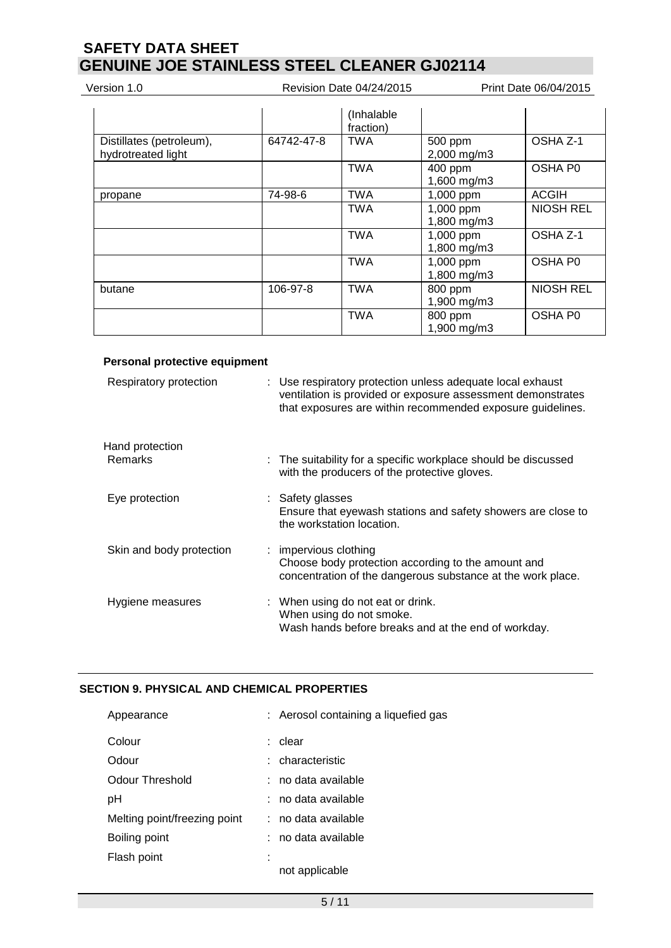Version 1.0 **Next** Revision Date 04/24/2015 **Print Date 06/04/2015** 

|                                                |            | (Inhalable)<br>fraction) |                          |                  |
|------------------------------------------------|------------|--------------------------|--------------------------|------------------|
| Distillates (petroleum),<br>hydrotreated light | 64742-47-8 | <b>TWA</b>               | 500 ppm<br>2,000 mg/m3   | OSHA Z-1         |
|                                                |            | <b>TWA</b>               | 400 ppm<br>1,600 mg/m3   | OSHA P0          |
| propane                                        | 74-98-6    | <b>TWA</b>               | 1,000 ppm                | <b>ACGIH</b>     |
|                                                |            | <b>TWA</b>               | 1,000 ppm<br>1,800 mg/m3 | <b>NIOSH REL</b> |
|                                                |            | <b>TWA</b>               | 1,000 ppm<br>1,800 mg/m3 | OSHA Z-1         |
|                                                |            | <b>TWA</b>               | 1,000 ppm<br>1,800 mg/m3 | OSHA P0          |
| butane                                         | 106-97-8   | <b>TWA</b>               | 800 ppm<br>1,900 mg/m3   | <b>NIOSH REL</b> |
|                                                |            | <b>TWA</b>               | 800 ppm<br>1,900 mg/m3   | OSHA P0          |

### **Personal protective equipment**

| Respiratory protection            | : Use respiratory protection unless adequate local exhaust<br>ventilation is provided or exposure assessment demonstrates<br>that exposures are within recommended exposure guidelines. |
|-----------------------------------|-----------------------------------------------------------------------------------------------------------------------------------------------------------------------------------------|
| Hand protection<br><b>Remarks</b> | : The suitability for a specific workplace should be discussed<br>with the producers of the protective gloves.                                                                          |
| Eye protection                    | : Safety glasses<br>Ensure that eyewash stations and safety showers are close to<br>the workstation location.                                                                           |
| Skin and body protection          | : impervious clothing<br>Choose body protection according to the amount and<br>concentration of the dangerous substance at the work place.                                              |
| Hygiene measures                  | : When using do not eat or drink.<br>When using do not smoke.<br>Wash hands before breaks and at the end of workday.                                                                    |

## **SECTION 9. PHYSICAL AND CHEMICAL PROPERTIES**

| : Aerosol containing a liquefied gas |
|--------------------------------------|
| clear                                |
| : characteristic                     |
| no data available                    |
| : no data available                  |
| : no data available                  |
| no data available                    |
| not applicable                       |
|                                      |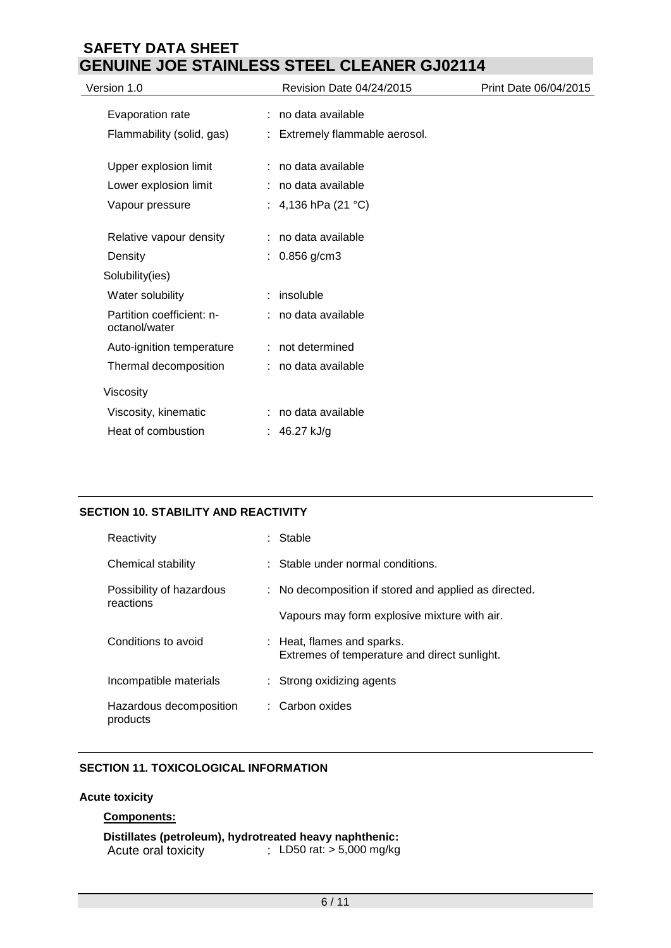| Revision Date 04/24/2015 | Print Date 06/04/2015                                                                                                                                                                                                                                                                            |
|--------------------------|--------------------------------------------------------------------------------------------------------------------------------------------------------------------------------------------------------------------------------------------------------------------------------------------------|
|                          |                                                                                                                                                                                                                                                                                                  |
|                          |                                                                                                                                                                                                                                                                                                  |
|                          |                                                                                                                                                                                                                                                                                                  |
|                          |                                                                                                                                                                                                                                                                                                  |
|                          |                                                                                                                                                                                                                                                                                                  |
|                          |                                                                                                                                                                                                                                                                                                  |
|                          |                                                                                                                                                                                                                                                                                                  |
|                          |                                                                                                                                                                                                                                                                                                  |
|                          |                                                                                                                                                                                                                                                                                                  |
|                          |                                                                                                                                                                                                                                                                                                  |
|                          |                                                                                                                                                                                                                                                                                                  |
|                          |                                                                                                                                                                                                                                                                                                  |
|                          |                                                                                                                                                                                                                                                                                                  |
|                          |                                                                                                                                                                                                                                                                                                  |
|                          |                                                                                                                                                                                                                                                                                                  |
|                          | : no data available<br>: Extremely flammable aerosol.<br>: no data available<br>: no data available<br>: 4,136 hPa $(21 °C)$<br>: no data available<br>$: 0.856$ g/cm3<br>$:$ insoluble<br>: no data available<br>: not determined<br>: no data available<br>: no data available<br>: 46.27 kJ/g |

## **SECTION 10. STABILITY AND REACTIVITY**

| Reactivity                            | Stable                                                                     |
|---------------------------------------|----------------------------------------------------------------------------|
| Chemical stability                    | : Stable under normal conditions.                                          |
| Possibility of hazardous<br>reactions | : No decomposition if stored and applied as directed.                      |
|                                       | Vapours may form explosive mixture with air.                               |
| Conditions to avoid                   | : Heat, flames and sparks.<br>Extremes of temperature and direct sunlight. |
| Incompatible materials                | : Strong oxidizing agents                                                  |
| Hazardous decomposition<br>products   | : Carbon oxides                                                            |

## **SECTION 11. TOXICOLOGICAL INFORMATION**

## **Acute toxicity**

## **Components:**

|                     | Distillates (petroleum), hydrotreated heavy naphthenic: |
|---------------------|---------------------------------------------------------|
| Acute oral toxicity | : LD50 rat: $> 5,000$ mg/kg                             |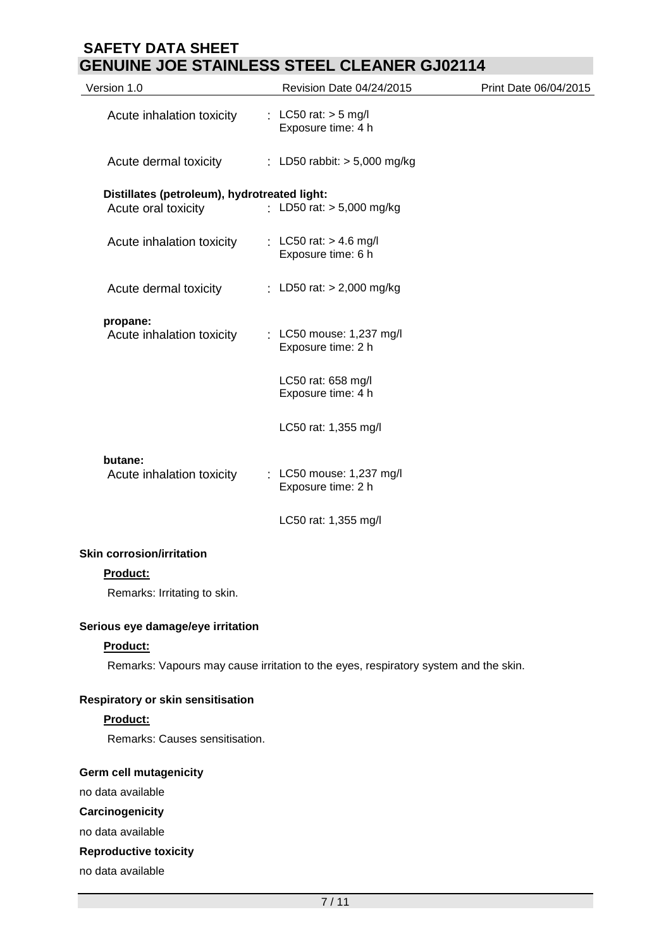| Version 1.0                                  | Revision Date 04/24/2015                                                            | Print Date 06/04/2015 |
|----------------------------------------------|-------------------------------------------------------------------------------------|-----------------------|
| Acute inhalation toxicity                    | : LC50 rat: $>$ 5 mg/l<br>Exposure time: 4 h                                        |                       |
| Acute dermal toxicity                        | : LD50 rabbit: $> 5,000$ mg/kg                                                      |                       |
| Distillates (petroleum), hydrotreated light: |                                                                                     |                       |
| Acute oral toxicity                          | : LD50 rat: > 5,000 mg/kg                                                           |                       |
| Acute inhalation toxicity                    | : LC50 rat: $> 4.6$ mg/l<br>Exposure time: 6 h                                      |                       |
| Acute dermal toxicity                        | : LD50 rat: $> 2,000$ mg/kg                                                         |                       |
| propane:                                     |                                                                                     |                       |
| Acute inhalation toxicity                    | : LC50 mouse: 1,237 mg/l<br>Exposure time: 2 h                                      |                       |
|                                              | LC50 rat: 658 mg/l<br>Exposure time: 4 h                                            |                       |
|                                              | LC50 rat: 1,355 mg/l                                                                |                       |
| butane:                                      |                                                                                     |                       |
| Acute inhalation toxicity                    | : LC50 mouse: 1,237 mg/l<br>Exposure time: 2 h                                      |                       |
|                                              | LC50 rat: 1,355 mg/l                                                                |                       |
| <b>Skin corrosion/irritation</b>             |                                                                                     |                       |
| Product:                                     |                                                                                     |                       |
| Remarks: Irritating to skin.                 |                                                                                     |                       |
| Serious eye damage/eye irritation            |                                                                                     |                       |
| Product:                                     |                                                                                     |                       |
|                                              | Remarks: Vapours may cause irritation to the eyes, respiratory system and the skin. |                       |
| Respiratory or skin sensitisation            |                                                                                     |                       |
| Product:                                     |                                                                                     |                       |
| Remarks: Causes sensitisation.               |                                                                                     |                       |
| Germ cell mutagenicity                       |                                                                                     |                       |

no data available

**Carcinogenicity**

no data available

# **Reproductive toxicity**

no data available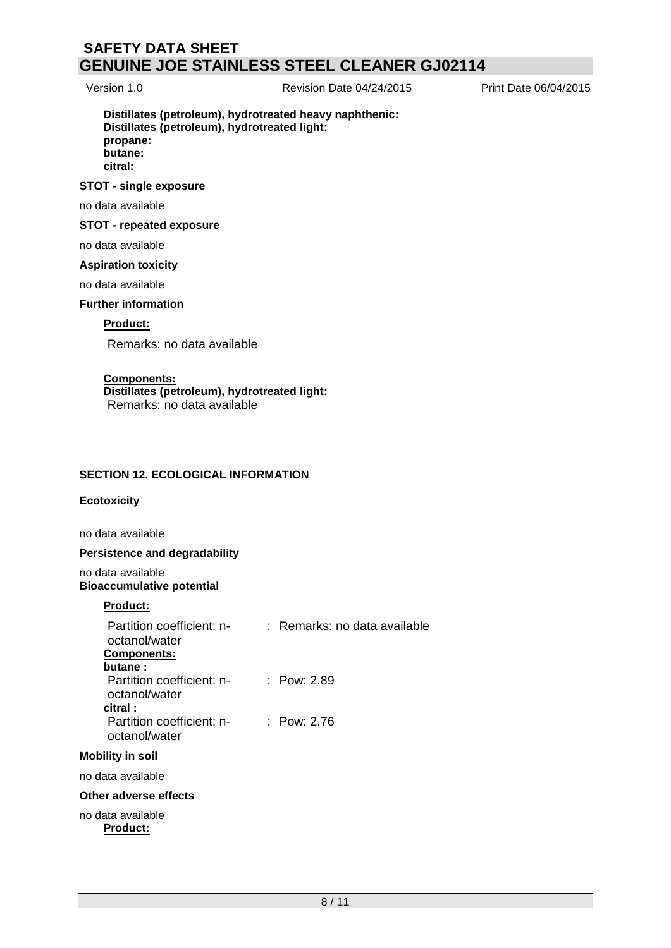Version 1.0 Revision Date 04/24/2015 Print Date 06/04/2015

### **Distillates (petroleum), hydrotreated heavy naphthenic: Distillates (petroleum), hydrotreated light: propane: butane: citral:**

#### **STOT - single exposure**

no data available

#### **STOT - repeated exposure**

no data available

### **Aspiration toxicity**

no data available

#### **Further information**

#### **Product:**

Remarks: no data available

### **Components:**

**Distillates (petroleum), hydrotreated light:** Remarks: no data available

### **SECTION 12. ECOLOGICAL INFORMATION**

#### **Ecotoxicity**

no data available

#### **Persistence and degradability**

no data available **Bioaccumulative potential**

### **Product:**

| Partition coefficient: n-<br>octanol/water<br><b>Components:</b><br>butane: | $:$ Remarks: no data available |
|-----------------------------------------------------------------------------|--------------------------------|
| Partition coefficient: n-<br>octanol/water<br>citral:                       | : Pow: 2.89                    |
| Partition coefficient: n-<br>octanol/water                                  | : Pow: 2.76                    |
| <b>Mobility in soil</b>                                                     |                                |
| no data available                                                           |                                |
| Other adverse effects                                                       |                                |

no data available **Product:**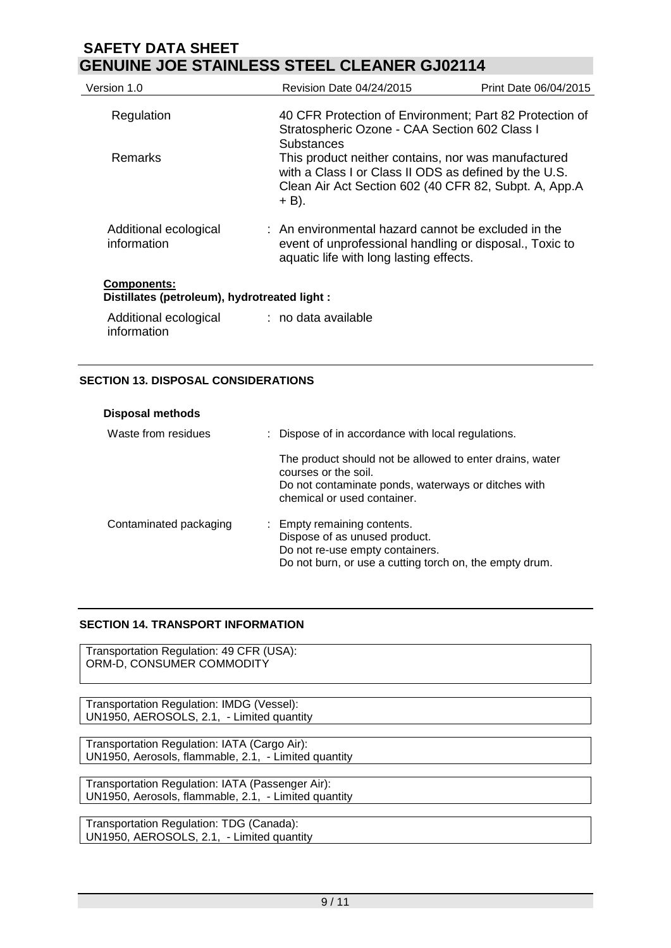| Version 1.0                                                         | Revision Date 04/24/2015                                                                                                                                                         | Print Date 06/04/2015 |
|---------------------------------------------------------------------|----------------------------------------------------------------------------------------------------------------------------------------------------------------------------------|-----------------------|
| Regulation                                                          | 40 CFR Protection of Environment; Part 82 Protection of<br>Stratospheric Ozone - CAA Section 602 Class I<br>Substances                                                           |                       |
| <b>Remarks</b>                                                      | This product neither contains, nor was manufactured<br>with a Class I or Class II ODS as defined by the U.S.<br>Clean Air Act Section 602 (40 CFR 82, Subpt. A, App.A<br>$+$ B). |                       |
| Additional ecological<br>information                                | $\pm$ An environmental hazard cannot be excluded in the<br>event of unprofessional handling or disposal., Toxic to<br>aquatic life with long lasting effects.                    |                       |
| <b>Components:</b><br>Distillates (petroleum), hydrotreated light : |                                                                                                                                                                                  |                       |
| Additional ecological                                               | $:$ no data available                                                                                                                                                            |                       |

## **SECTION 13. DISPOSAL CONSIDERATIONS**

information

| <b>Disposal methods</b> |                                                                                                                                                                        |
|-------------------------|------------------------------------------------------------------------------------------------------------------------------------------------------------------------|
| Waste from residues     | : Dispose of in accordance with local regulations.                                                                                                                     |
|                         | The product should not be allowed to enter drains, water<br>courses or the soil.<br>Do not contaminate ponds, waterways or ditches with<br>chemical or used container. |
| Contaminated packaging  | : Empty remaining contents.<br>Dispose of as unused product.<br>Do not re-use empty containers.<br>Do not burn, or use a cutting torch on, the empty drum.             |

## **SECTION 14. TRANSPORT INFORMATION**

Transportation Regulation: 49 CFR (USA): ORM-D, CONSUMER COMMODITY

Transportation Regulation: IMDG (Vessel): UN1950, AEROSOLS, 2.1, - Limited quantity

Transportation Regulation: IATA (Cargo Air): UN1950, Aerosols, flammable, 2.1, - Limited quantity

Transportation Regulation: IATA (Passenger Air): UN1950, Aerosols, flammable, 2.1, - Limited quantity

Transportation Regulation: TDG (Canada): UN1950, AEROSOLS, 2.1, - Limited quantity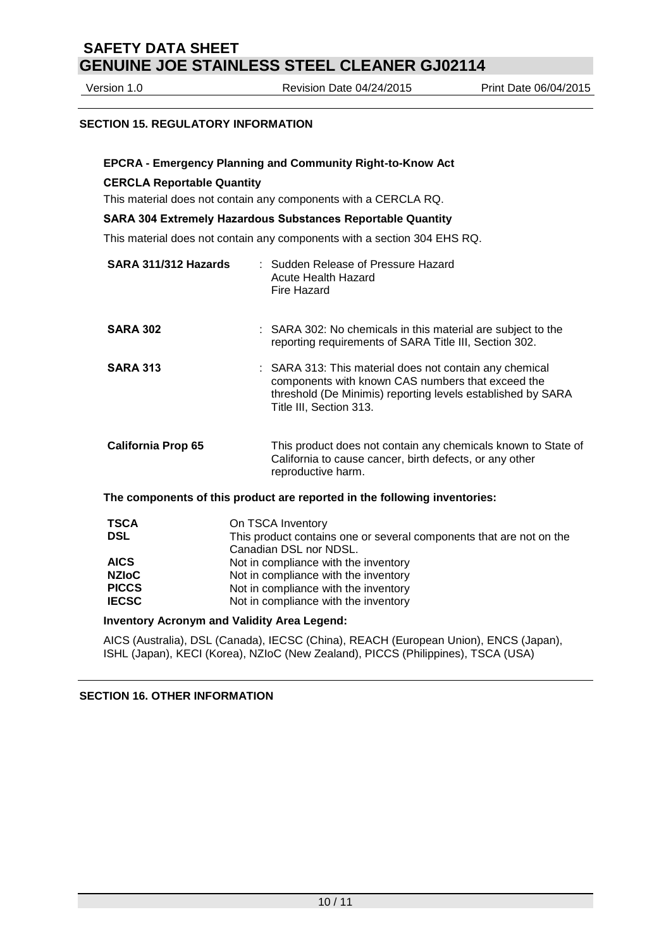Version 1.0 Revision Date 04/24/2015 Print Date 06/04/2015

### **SECTION 15. REGULATORY INFORMATION**

#### **EPCRA - Emergency Planning and Community Right-to-Know Act**

#### **CERCLA Reportable Quantity**

This material does not contain any components with a CERCLA RQ.

#### **SARA 304 Extremely Hazardous Substances Reportable Quantity**

This material does not contain any components with a section 304 EHS RQ.

| SARA 311/312 Hazards      | : Sudden Release of Pressure Hazard<br>Acute Health Hazard<br>Fire Hazard                                                                                                                              |  |
|---------------------------|--------------------------------------------------------------------------------------------------------------------------------------------------------------------------------------------------------|--|
| <b>SARA 302</b>           | : SARA 302: No chemicals in this material are subject to the<br>reporting requirements of SARA Title III, Section 302.                                                                                 |  |
| <b>SARA 313</b>           | : SARA 313: This material does not contain any chemical<br>components with known CAS numbers that exceed the<br>threshold (De Minimis) reporting levels established by SARA<br>Title III, Section 313. |  |
| <b>California Prop 65</b> | This product does not contain any chemicals known to State of<br>California to cause cancer, birth defects, or any other<br>reproductive harm.                                                         |  |
|                           | The components of this product are reported in the following inventories:                                                                                                                              |  |
| <b>TSCA</b><br><b>DSL</b> | On TSCA Inventory<br>This product contains one or several components that are not on the<br>Canadian DSL nor NDSL.                                                                                     |  |
| <b>AICS</b>               | Not in compliance with the inventory                                                                                                                                                                   |  |
| <b>NZIoC</b>              | Not in compliance with the inventory                                                                                                                                                                   |  |
| <b>PICCS</b>              | Not in compliance with the inventory                                                                                                                                                                   |  |
|                           |                                                                                                                                                                                                        |  |

**IECSC** Not in compliance with the inventory

#### **Inventory Acronym and Validity Area Legend:**

AICS (Australia), DSL (Canada), IECSC (China), REACH (European Union), ENCS (Japan), ISHL (Japan), KECI (Korea), NZIoC (New Zealand), PICCS (Philippines), TSCA (USA)

### **SECTION 16. OTHER INFORMATION**